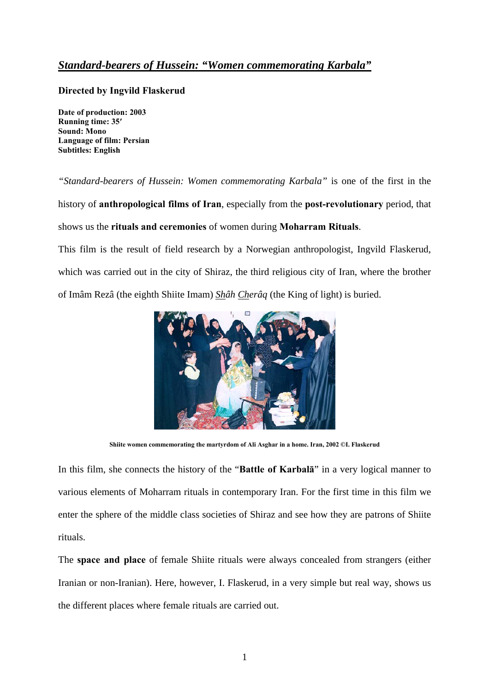## *Standard-bearers of Hussein: "Women commemorating Karbala"*

## **Directed by Ingvild Flaskerud**

**Date of production: 2003 Running time: 35′ Sound: Mono Language of film: Persian Subtitles: English** 

*"Standard-bearers of Hussein: Women commemorating Karbala"* is one of the first in the history of **anthropological films of Iran**, especially from the **post-revolutionary** period, that shows us the **rituals and ceremonies** of women during **Moharram Rituals**.

This film is the result of field research by a Norwegian anthropologist, Ingvild Flaskerud, which was carried out in the city of Shiraz, the third religious city of Iran, where the brother of Imâm Rezâ (the eighth Shiite Imam) *Shâh Cherâq* (the King of light) is buried.



**Shiite women commemorating the martyrdom of Ali Asghar in a home. Iran, 2002 ©I. Flaskerud** 

In this film, she connects the history of the "**Battle of Karbalā**" in a very logical manner to various elements of Moharram rituals in contemporary Iran. For the first time in this film we enter the sphere of the middle class societies of Shiraz and see how they are patrons of Shiite rituals.

The **space and place** of female Shiite rituals were always concealed from strangers (either Iranian or non-Iranian). Here, however, I. Flaskerud, in a very simple but real way, shows us the different places where female rituals are carried out.